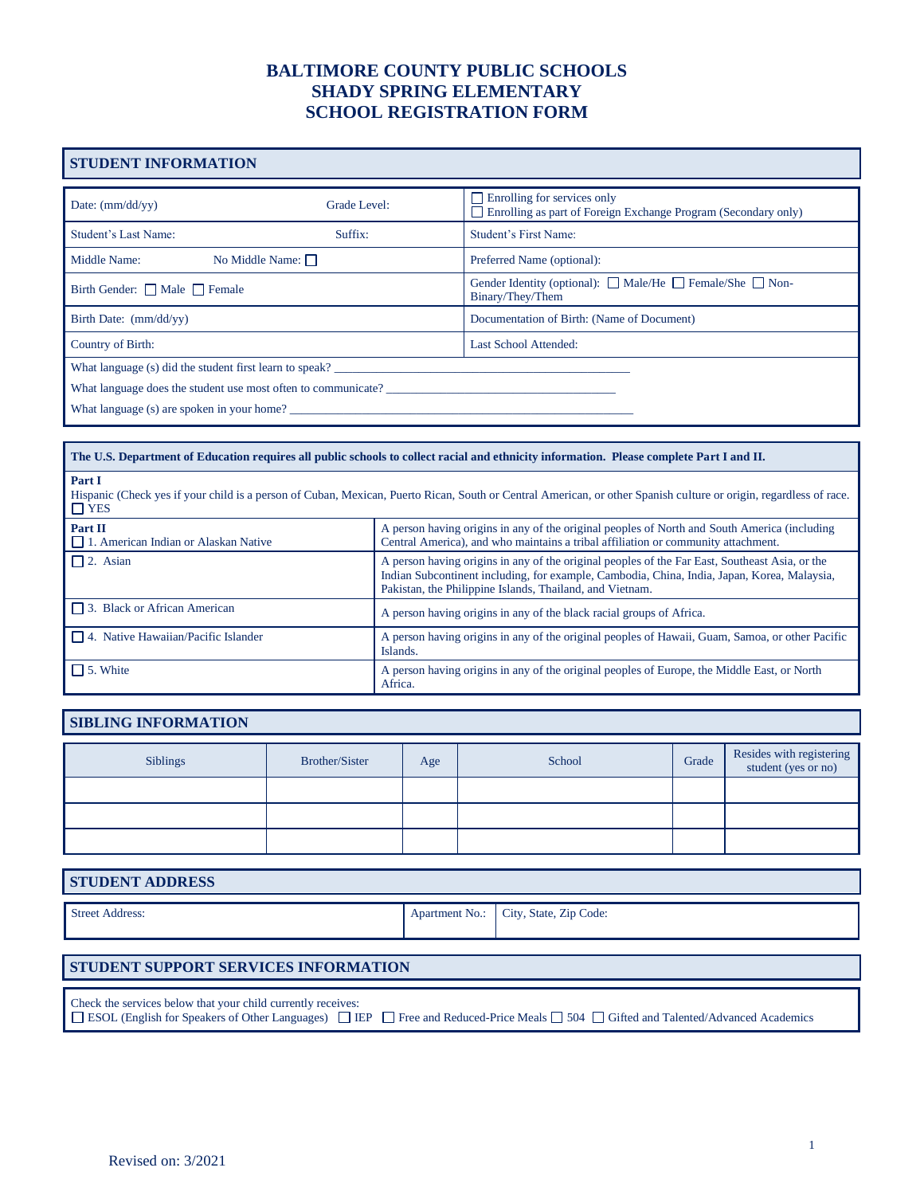## **STUDENT INFORMATION**

| Date: $\frac{mm}{dd/vy}$                                      | Grade Level:           | $\Box$ Enrolling for services only<br>$\Box$ Enrolling as part of Foreign Exchange Program (Secondary only) |  |  |  |  |
|---------------------------------------------------------------|------------------------|-------------------------------------------------------------------------------------------------------------|--|--|--|--|
| Student's Last Name:<br>Suffix:                               |                        | <b>Student's First Name:</b>                                                                                |  |  |  |  |
| Middle Name:                                                  | No Middle Name: $\Box$ | Preferred Name (optional):                                                                                  |  |  |  |  |
| Birth Gender: $\Box$ Male $\Box$ Female                       |                        | Gender Identity (optional): $\Box$ Male/He $\Box$ Female/She $\Box$ Non-<br>Binary/They/Them                |  |  |  |  |
| Birth Date: (mm/dd/yy)                                        |                        | Documentation of Birth: (Name of Document)                                                                  |  |  |  |  |
| Country of Birth:                                             |                        | <b>Last School Attended:</b>                                                                                |  |  |  |  |
| What language (s) did the student first learn to speak?       |                        |                                                                                                             |  |  |  |  |
| What language does the student use most often to communicate? |                        |                                                                                                             |  |  |  |  |
| What language (s) are spoken in your home?                    |                        |                                                                                                             |  |  |  |  |

| The U.S. Department of Education requires all public schools to collect racial and ethnicity information. Please complete Part I and II.                                                  |                                                                                                                                                                                                                                                           |  |  |  |  |
|-------------------------------------------------------------------------------------------------------------------------------------------------------------------------------------------|-----------------------------------------------------------------------------------------------------------------------------------------------------------------------------------------------------------------------------------------------------------|--|--|--|--|
| Part I<br>Hispanic (Check yes if your child is a person of Cuban, Mexican, Puerto Rican, South or Central American, or other Spanish culture or origin, regardless of race.<br>$\Box$ YES |                                                                                                                                                                                                                                                           |  |  |  |  |
| Part II<br>$\Box$ 1. American Indian or Alaskan Native                                                                                                                                    | A person having origins in any of the original peoples of North and South America (including<br>Central America), and who maintains a tribal affiliation or community attachment.                                                                         |  |  |  |  |
| $\Box$ 2. Asian                                                                                                                                                                           | A person having origins in any of the original peoples of the Far East, Southeast Asia, or the<br>Indian Subcontinent including, for example, Cambodia, China, India, Japan, Korea, Malaysia,<br>Pakistan, the Philippine Islands, Thailand, and Vietnam. |  |  |  |  |
| $\Box$ 3. Black or African American                                                                                                                                                       | A person having origins in any of the black racial groups of Africa.                                                                                                                                                                                      |  |  |  |  |
| 4. Native Hawaiian/Pacific Islander                                                                                                                                                       | A person having origins in any of the original peoples of Hawaii, Guam, Samoa, or other Pacific<br>Islands.                                                                                                                                               |  |  |  |  |
| $\Box$ 5. White                                                                                                                                                                           | A person having origins in any of the original peoples of Europe, the Middle East, or North<br>Africa.                                                                                                                                                    |  |  |  |  |

#### **SIBLING INFORMATION**

| <b>Siblings</b> | Brother/Sister | Age | School | Grade | Resides with registering<br>student (yes or no) |
|-----------------|----------------|-----|--------|-------|-------------------------------------------------|
|                 |                |     |        |       |                                                 |
|                 |                |     |        |       |                                                 |
|                 |                |     |        |       |                                                 |

#### **STUDENT ADDRESS**

Street Address: Apartment No.: City, State, Zip Code:

#### **STUDENT SUPPORT SERVICES INFORMATION**

Check the services below that your child currently receives:

□ ESOL (English for Speakers of Other Languages) □ IEP □ Free and Reduced-Price Meals □ 504 □ Gifted and Talented/Advanced Academics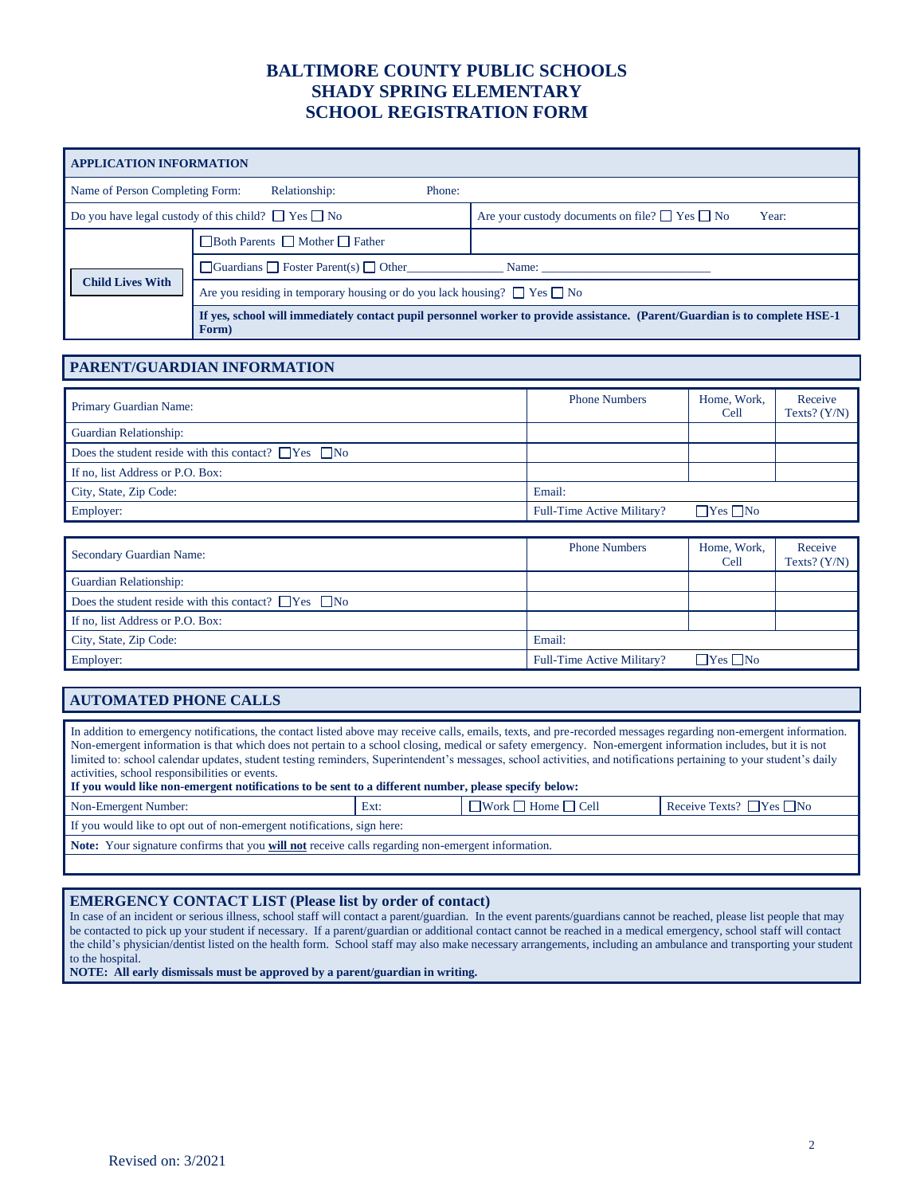| <b>APPLICATION INFORMATION</b>                                |                                                                                                                                      |        |                                                                   |  |  |  |
|---------------------------------------------------------------|--------------------------------------------------------------------------------------------------------------------------------------|--------|-------------------------------------------------------------------|--|--|--|
| Name of Person Completing Form:                               | Relationship:                                                                                                                        | Phone: |                                                                   |  |  |  |
| Do you have legal custody of this child? $\Box$ Yes $\Box$ No |                                                                                                                                      |        | Are your custody documents on file? $\Box$ Yes $\Box$ No<br>Year: |  |  |  |
| <b>Child Lives With</b>                                       | □ Both Parents □ Mother □ Father                                                                                                     |        |                                                                   |  |  |  |
|                                                               | $\Box$ Guardians $\Box$ Foster Parent(s) $\Box$ Other                                                                                |        |                                                                   |  |  |  |
|                                                               | Are you residing in temporary housing or do you lack housing? $\Box$ Yes $\Box$ No                                                   |        |                                                                   |  |  |  |
|                                                               | If yes, school will immediately contact pupil personnel worker to provide assistance. (Parent/Guardian is to complete HSE-1<br>Form) |        |                                                                   |  |  |  |

#### **PARENT/GUARDIAN INFORMATION**

| <b>Primary Guardian Name:</b>                                   | <b>Phone Numbers</b>       | Home, Work,<br>Cell  | Receive<br>Texts? $(Y/N)$ |
|-----------------------------------------------------------------|----------------------------|----------------------|---------------------------|
| Guardian Relationship:                                          |                            |                      |                           |
| Does the student reside with this contact? $\Box$ Yes $\Box$ No |                            |                      |                           |
| If no, list Address or P.O. Box:                                |                            |                      |                           |
| City, State, Zip Code:                                          | Email:                     |                      |                           |
| Employer:                                                       | Full-Time Active Military? | $\Box$ Yes $\Box$ No |                           |

| Secondary Guardian Name:                                        | <b>Phone Numbers</b>       | Home, Work,<br>Cell      | Receive<br>Texts? $(Y/N)$ |
|-----------------------------------------------------------------|----------------------------|--------------------------|---------------------------|
| <b>Guardian Relationship:</b>                                   |                            |                          |                           |
| Does the student reside with this contact? $\Box$ Yes $\Box$ No |                            |                          |                           |
| If no, list Address or P.O. Box:                                |                            |                          |                           |
| City, State, Zip Code:                                          | Email:                     |                          |                           |
| Employer:                                                       | Full-Time Active Military? | $\sqcap$ Yes $\sqcap$ No |                           |

### **AUTOMATED PHONE CALLS**

In addition to emergency notifications, the contact listed above may receive calls, emails, texts, and pre-recorded messages regarding non-emergent information. Non-emergent information is that which does not pertain to a school closing, medical or safety emergency. Non-emergent information includes, but it is not limited to: school calendar updates, student testing reminders, Superintendent's messages, school activities, and notifications pertaining to your student's daily activities, school responsibilities or events. **If you would like non-emergent notifications to be sent to a different number, please specify below:** Non-Emergent Number: Ext: Work Home Cell Receive Texts? Yes No If you would like to opt out of non-emergent notifications, sign here: **Note:** Your signature confirms that you **will not** receive calls regarding non-emergent information.

### **EMERGENCY CONTACT LIST (Please list by order of contact)**

In case of an incident or serious illness, school staff will contact a parent/guardian. In the event parents/guardians cannot be reached, please list people that may be contacted to pick up your student if necessary. If a parent/guardian or additional contact cannot be reached in a medical emergency, school staff will contact the child's physician/dentist listed on the health form. School staff may also make necessary arrangements, including an ambulance and transporting your student to the hospital.

**NOTE: All early dismissals must be approved by a parent/guardian in writing.**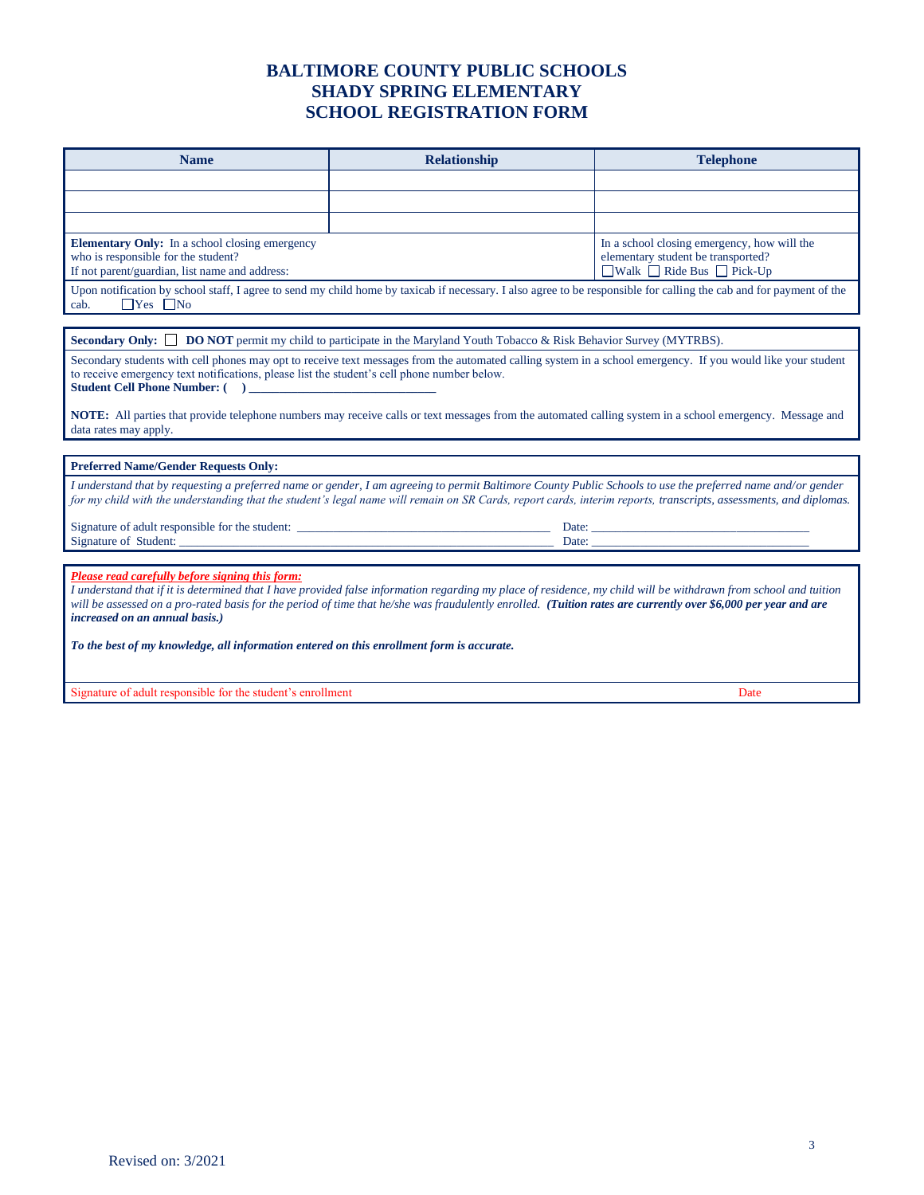| <b>Name</b>                                                                                                                                                                                                                                                                                                                                                                                                                                      | <b>Relationship</b>                                                                                                                                                                                                                                                                                                              | <b>Telephone</b> |  |  |  |  |
|--------------------------------------------------------------------------------------------------------------------------------------------------------------------------------------------------------------------------------------------------------------------------------------------------------------------------------------------------------------------------------------------------------------------------------------------------|----------------------------------------------------------------------------------------------------------------------------------------------------------------------------------------------------------------------------------------------------------------------------------------------------------------------------------|------------------|--|--|--|--|
|                                                                                                                                                                                                                                                                                                                                                                                                                                                  |                                                                                                                                                                                                                                                                                                                                  |                  |  |  |  |  |
|                                                                                                                                                                                                                                                                                                                                                                                                                                                  |                                                                                                                                                                                                                                                                                                                                  |                  |  |  |  |  |
|                                                                                                                                                                                                                                                                                                                                                                                                                                                  |                                                                                                                                                                                                                                                                                                                                  |                  |  |  |  |  |
| <b>Elementary Only:</b> In a school closing emergency<br>who is responsible for the student?<br>If not parent/guardian, list name and address:                                                                                                                                                                                                                                                                                                   | In a school closing emergency, how will the<br>elementary student be transported?<br>$\Box$ Walk $\Box$ Ride Bus $\Box$ Pick-Up                                                                                                                                                                                                  |                  |  |  |  |  |
| $\Box$ Yes $\Box$ No<br>cab.                                                                                                                                                                                                                                                                                                                                                                                                                     | Upon notification by school staff, I agree to send my child home by taxicab if necessary. I also agree to be responsible for calling the cab and for payment of the                                                                                                                                                              |                  |  |  |  |  |
|                                                                                                                                                                                                                                                                                                                                                                                                                                                  |                                                                                                                                                                                                                                                                                                                                  |                  |  |  |  |  |
|                                                                                                                                                                                                                                                                                                                                                                                                                                                  | <b>Secondary Only:</b> $\Box$ <b>DO NOT</b> permit my child to participate in the Maryland Youth Tobacco & Risk Behavior Survey (MYTRBS).                                                                                                                                                                                        |                  |  |  |  |  |
| Secondary students with cell phones may opt to receive text messages from the automated calling system in a school emergency. If you would like your student<br>to receive emergency text notifications, please list the student's cell phone number below.<br>NOTE: All parties that provide telephone numbers may receive calls or text messages from the automated calling system in a school emergency. Message and<br>data rates may apply. |                                                                                                                                                                                                                                                                                                                                  |                  |  |  |  |  |
|                                                                                                                                                                                                                                                                                                                                                                                                                                                  |                                                                                                                                                                                                                                                                                                                                  |                  |  |  |  |  |
| <b>Preferred Name/Gender Requests Only:</b>                                                                                                                                                                                                                                                                                                                                                                                                      |                                                                                                                                                                                                                                                                                                                                  |                  |  |  |  |  |
|                                                                                                                                                                                                                                                                                                                                                                                                                                                  | I understand that by requesting a preferred name or gender, I am agreeing to permit Baltimore County Public Schools to use the preferred name and/or gender<br>for my child with the understanding that the student's legal name will remain on SR Cards, report cards, interim reports, transcripts, assessments, and diplomas. |                  |  |  |  |  |
| Signature of Student:                                                                                                                                                                                                                                                                                                                                                                                                                            |                                                                                                                                                                                                                                                                                                                                  |                  |  |  |  |  |
|                                                                                                                                                                                                                                                                                                                                                                                                                                                  |                                                                                                                                                                                                                                                                                                                                  |                  |  |  |  |  |
| Please read carefully before signing this form:<br>I understand that if it is determined that I have provided false information regarding my place of residence, my child will be withdrawn from school and tuition<br>will be assessed on a pro-rated basis for the period of time that he/she was fraudulently enrolled. (Tuition rates are currently over \$6,000 per year and are<br>increased on an annual basis.)                          |                                                                                                                                                                                                                                                                                                                                  |                  |  |  |  |  |
| To the best of my knowledge, all information entered on this enrollment form is accurate.                                                                                                                                                                                                                                                                                                                                                        |                                                                                                                                                                                                                                                                                                                                  |                  |  |  |  |  |
| Signature of adult responsible for the student's enrollment                                                                                                                                                                                                                                                                                                                                                                                      |                                                                                                                                                                                                                                                                                                                                  | Date             |  |  |  |  |